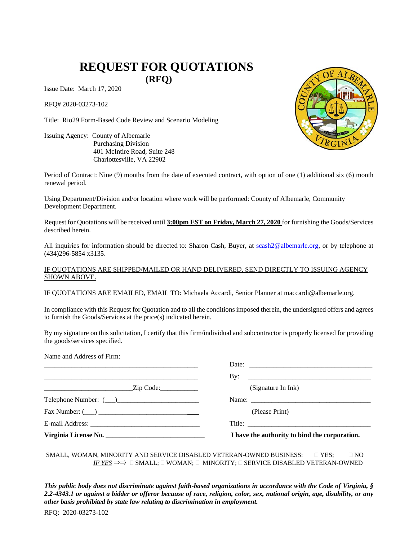# **REQUEST FOR QUOTATIONS**

**(RFQ)** 

Issue Date: March 17, 2020

RFQ# 2020-03273-102

Title: Rio29 Form-Based Code Review and Scenario Modeling

Issuing Agency: County of Albemarle Purchasing Division 401 McIntire Road, Suite 248 Charlottesville, VA 22902

Period of Contract: Nine (9) months from the date of executed contract, with option of one (1) additional six (6) month renewal period.

Using Department/Division and/or location where work will be performed: County of Albemarle, Community Development Department.

Request for Quotations will be received until **3:00pm EST on Friday, March 27, 2020** for furnishing the Goods/Services described herein.

All inquiries for information should be directed to: Sharon Cash, Buyer, at [scash2@albemarle.org,](mailto:scash2@albemarle.org?subject=RFQ:%20%20102) or by telephone at (434)296-5854 x3135.

#### IF QUOTATIONS ARE SHIPPED/MAILED OR HAND DELIVERED, SEND DIRECTLY TO ISSUING AGENCY SHOWN ABOVE.

IF QUOTATIONS ARE EMAILED, EMAIL TO: Michaela Accardi, Senior Planner at [maccardi@albemarle.org.](mailto:maccardi@albemarle.org?subject=RFQ:%20%20102)

In compliance with this Request for Quotation and to all the conditions imposed therein, the undersigned offers and agrees to furnish the Goods/Services at the price(s) indicated herein.

By my signature on this solicitation, I certify that this firm/individual and subcontractor is properly licensed for providing the goods/services specified.

| Name and Address of Firm:     |                                               |
|-------------------------------|-----------------------------------------------|
|                               |                                               |
|                               | By: $\qquad \qquad$                           |
| $\frac{1}{\text{Zip Code:}}$  | (Signature In Ink)                            |
|                               |                                               |
| $\text{Fax Number: } (\_\_\)$ | (Please Print)                                |
|                               | Title:                                        |
| Virginia License No.          | I have the authority to bind the corporation. |

SMALL, WOMAN, MINORITY AND SERVICE DISABLED VETERAN-OWNED BUSINESS:  $\square$  YES;  $\square$  NO *IF YES*  $\Rightarrow$   $\Rightarrow$   $\Box$  SMALL;  $\Box$  WOMAN;  $\Box$  MINORITY;  $\Box$  SERVICE DISABLED VETERAN-OWNED

*This public body does not discriminate against faith-based organizations in accordance with the Code of Virginia, § 2.2-4343.1 or against a bidder or offeror because of race, religion, color, sex, national origin, age, disability, or any other basis prohibited by state law relating to discrimination in employment.*

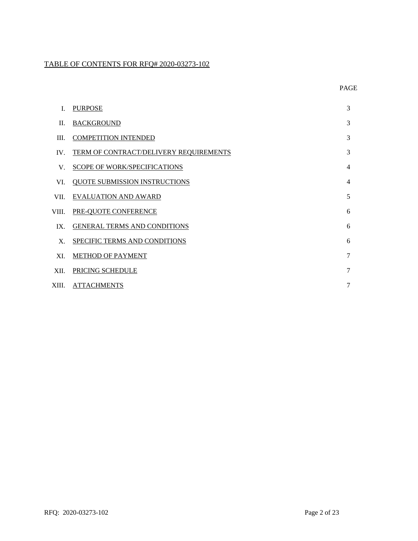## TABLE OF CONTENTS FOR RFQ# 2020-03273-102

|             | <b>PURPOSE</b>                         | 3              |
|-------------|----------------------------------------|----------------|
| H.          | <b>BACKGROUND</b>                      | 3              |
| III.        | <b>COMPETITION INTENDED</b>            | 3              |
| $IV_{-}$    | TERM OF CONTRACT/DELIVERY REQUIREMENTS | 3              |
| $V_{\perp}$ | <b>SCOPE OF WORK/SPECIFICATIONS</b>    | $\overline{4}$ |
| VI.         | <b>QUOTE SUBMISSION INSTRUCTIONS</b>   | $\overline{4}$ |
| VII.        | <b>EVALUATION AND AWARD</b>            | 5              |
| VIII.       | PRE-QUOTE CONFERENCE                   | 6              |
| $IX_{-}$    | GENERAL TERMS AND CONDITIONS           | 6              |
| $X_{-}$     | SPECIFIC TERMS AND CONDITIONS          | 6              |
| XI.         | METHOD OF PAYMENT                      | $\tau$         |
| XII.        | <b>PRICING SCHEDULE</b>                | $\tau$         |
|             | XIII. ATTACHMENTS                      | $\overline{7}$ |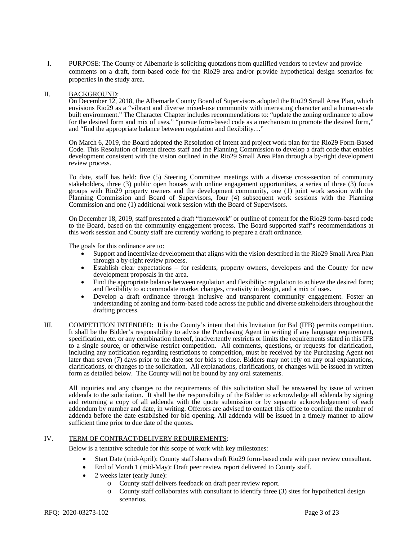I. PURPOSE: The County of Albemarle is soliciting quotations from qualified vendors to review and provide comments on a draft, form-based code for the Rio29 area and/or provide hypothetical design scenarios for properties in the study area.

#### II. BACKGROUND:

On December 12, 2018, the Albemarle County Board of Supervisors adopted the Rio29 Small Area Plan, which envisions Rio29 as a "vibrant and diverse mixed-use community with interesting character and a human-scale built environment." The Character Chapter includes recommendations to: "update the zoning ordinance to allow for the desired form and mix of uses," "pursue form-based code as a mechanism to promote the desired form," and "find the appropriate balance between regulation and flexibility…"

On March 6, 2019, the Board adopted the Resolution of Intent and project work plan for the Rio29 Form-Based Code. This Resolution of Intent directs staff and the Planning Commission to develop a draft code that enables development consistent with the vision outlined in the Rio29 Small Area Plan through a by-right development review process.

To date, staff has held: five (5) Steering Committee meetings with a diverse cross-section of community stakeholders, three (3) public open houses with online engagement opportunities, a series of three (3) focus groups with Rio29 property owners and the development community, one (1) joint work session with the Planning Commission and Board of Supervisors, four (4) subsequent work sessions with the Planning Commission and one (1) additional work session with the Board of Supervisors.

On December 18, 2019, staff presented a draft "framework" or outline of content for the Rio29 form-based code to the Board, based on the community engagement process. The Board supported staff's recommendations at this work session and County staff are currently working to prepare a draft ordinance.

The goals for this ordinance are to:

- Support and incentivize development that aligns with the vision described in the Rio29 Small Area Plan through a by-right review process.
- Establish clear expectations for residents, property owners, developers and the County for new development proposals in the area.
- Find the appropriate balance between regulation and flexibility: regulation to achieve the desired form; and flexibility to accommodate market changes, creativity in design, and a mix of uses.
- Develop a draft ordinance through inclusive and transparent community engagement. Foster an understanding of zoning and form-based code across the public and diverse stakeholders throughout the drafting process.
- III. COMPETITION INTENDED: It is the County's intent that this Invitation for Bid (IFB) permits competition. It shall be the Bidder's responsibility to advise the Purchasing Agent in writing if any language requirement, specification, etc. or any combination thereof, inadvertently restricts or limits the requirements stated in this IFB to a single source, or otherwise restrict competition. All comments, questions, or requests for clarification, including any notification regarding restrictions to competition, must be received by the Purchasing Agent not later than seven (7) days prior to the date set for bids to close. Bidders may not rely on any oral explanations, clarifications, or changes to the solicitation. All explanations, clarifications, or changes will be issued in written form as detailed below. The County will not be bound by any oral statements.

All inquiries and any changes to the requirements of this solicitation shall be answered by issue of written addenda to the solicitation. It shall be the responsibility of the Bidder to acknowledge all addenda by signing and returning a copy of all addenda with the quote submission or by separate acknowledgement of each addendum by number and date, in writing. Offerors are advised to contact this office to confirm the number of addenda before the date established for bid opening. All addenda will be issued in a timely manner to allow sufficient time prior to due date of the quotes.

#### IV. TERM OF CONTRACT/DELIVERY REQUIREMENTS:

Below is a tentative schedule for this scope of work with key milestones:

- Start Date (mid-April): County staff shares draft Rio29 form-based code with peer review consultant.
- End of Month 1 (mid-May): Draft peer review report delivered to County staff.
- 2 weeks later (early June):
	- o County staff delivers feedback on draft peer review report.
	- o County staff collaborates with consultant to identify three (3) sites for hypothetical design scenarios.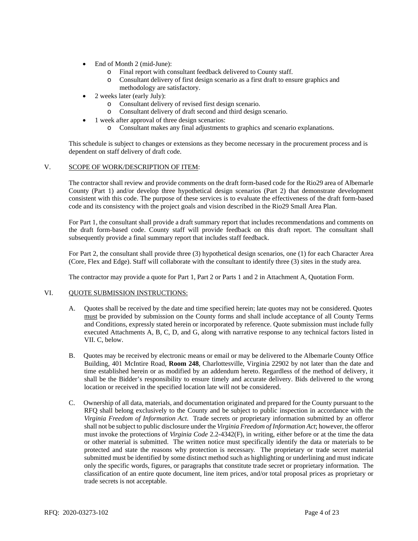- End of Month 2 (mid-June):
	- o Final report with consultant feedback delivered to County staff.
	- Consultant delivery of first design scenario as a first draft to ensure graphics and methodology are satisfactory.
- 2 weeks later (early July):
	- o Consultant delivery of revised first design scenario.
	- Consultant delivery of draft second and third design scenario.
- 1 week after approval of three design scenarios:
	- o Consultant makes any final adjustments to graphics and scenario explanations.

This schedule is subject to changes or extensions as they become necessary in the procurement process and is dependent on staff delivery of draft code.

#### V. SCOPE OF WORK/DESCRIPTION OF ITEM:

The contractor shall review and provide comments on the draft form-based code for the Rio29 area of Albemarle County (Part 1) and/or develop three hypothetical design scenarios (Part 2) that demonstrate development consistent with this code. The purpose of these services is to evaluate the effectiveness of the draft form-based code and its consistency with the project goals and vision described in the Rio29 Small Area Plan.

For Part 1, the consultant shall provide a draft summary report that includes recommendations and comments on the draft form-based code. County staff will provide feedback on this draft report. The consultant shall subsequently provide a final summary report that includes staff feedback.

For Part 2, the consultant shall provide three (3) hypothetical design scenarios, one (1) for each Character Area (Core, Flex and Edge). Staff will collaborate with the consultant to identify three (3) sites in the study area.

The contractor may provide a quote for Part 1, Part 2 or Parts 1 and 2 in Attachment A, Quotation Form.

#### VI. QUOTE SUBMISSION INSTRUCTIONS:

- A. Quotes shall be received by the date and time specified herein; late quotes may not be considered. Quotes must be provided by submission on the County forms and shall include acceptance of all County Terms and Conditions, expressly stated herein or incorporated by reference. Quote submission must include fully executed Attachments A, B, C, D, and G, along with narrative response to any technical factors listed in VII. C, below.
- B. Quotes may be received by electronic means or email or may be delivered to the Albemarle County Office Building, 401 McIntire Road, **Room 248**, Charlottesville, Virginia 22902 by not later than the date and time established herein or as modified by an addendum hereto. Regardless of the method of delivery, it shall be the Bidder's responsibility to ensure timely and accurate delivery. Bids delivered to the wrong location or received in the specified location late will not be considered.
- C. Ownership of all data, materials, and documentation originated and prepared for the County pursuant to the RFQ shall belong exclusively to the County and be subject to public inspection in accordance with the *Virginia Freedom of Information Act*. Trade secrets or proprietary information submitted by an offeror shall not be subject to public disclosure under the *Virginia Freedom of Information Act*; however, the offeror must invoke the protections of *Virginia Code* 2.2-4342(F), in writing, either before or at the time the data or other material is submitted. The written notice must specifically identify the data or materials to be protected and state the reasons why protection is necessary. The proprietary or trade secret material submitted must be identified by some distinct method such as highlighting or underlining and must indicate only the specific words, figures, or paragraphs that constitute trade secret or proprietary information. The classification of an entire quote document, line item prices, and/or total proposal prices as proprietary or trade secrets is not acceptable.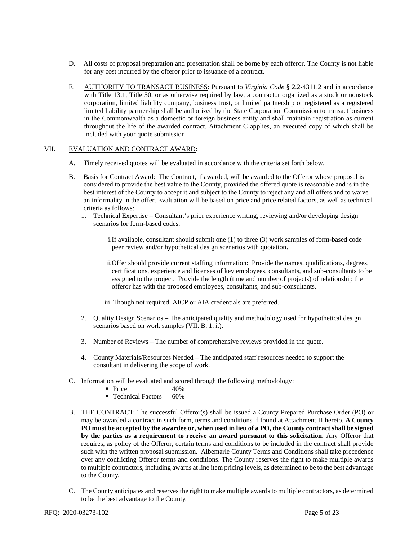- D. All costs of proposal preparation and presentation shall be borne by each offeror. The County is not liable for any cost incurred by the offeror prior to issuance of a contract.
- E. AUTHORITY TO TRANSACT BUSINESS: Pursuant to *Virginia Code* § 2.2-4311.2 and in accordance with Title 13.1, Title 50, or as otherwise required by law, a contractor organized as a stock or nonstock corporation, limited liability company, business trust, or limited partnership or registered as a registered limited liability partnership shall be authorized by the State Corporation Commission to transact business in the Commonwealth as a domestic or foreign business entity and shall maintain registration as current throughout the life of the awarded contract. Attachment C applies, an executed copy of which shall be included with your quote submission.

#### VII. EVALUATION AND CONTRACT AWARD:

- A. Timely received quotes will be evaluated in accordance with the criteria set forth below.
- B. Basis for Contract Award: The Contract, if awarded, will be awarded to the Offeror whose proposal is considered to provide the best value to the County, provided the offered quote is reasonable and is in the best interest of the County to accept it and subject to the County to reject any and all offers and to waive an informality in the offer. Evaluation will be based on price and price related factors, as well as technical criteria as follows:
	- 1. Technical Expertise Consultant's prior experience writing, reviewing and/or developing design scenarios for form-based codes.
		- i.If available, consultant should submit one (1) to three (3) work samples of form-based code peer review and/or hypothetical design scenarios with quotation.
		- ii.Offer should provide current staffing information: Provide the names, qualifications, degrees, certifications, experience and licenses of key employees, consultants, and sub-consultants to be assigned to the project. Provide the length (time and number of projects) of relationship the offeror has with the proposed employees, consultants, and sub-consultants.
		- iii. Though not required, AICP or AIA credentials are preferred.
	- 2. Quality Design Scenarios The anticipated quality and methodology used for hypothetical design scenarios based on work samples (VII. B. 1. i.).
	- 3. Number of Reviews The number of comprehensive reviews provided in the quote.
	- 4. County Materials/Resources Needed The anticipated staff resources needed to support the consultant in delivering the scope of work.
- C. Information will be evaluated and scored through the following methodology:
	- $\blacksquare$  Price  $40\%$
	- **Technical Factors 60%**
- B. THE CONTRACT: The successful Offeror(s) shall be issued a County Prepared Purchase Order (PO) or may be awarded a contract in such form, terms and conditions if found at Attachment H hereto. **A County PO must be accepted by the awardee or, when used in lieu of a PO, the County contract shall be signed by the parties as a requirement to receive an award pursuant to this solicitation.** Any Offeror that requires, as policy of the Offeror, certain terms and conditions to be included in the contract shall provide such with the written proposal submission. Albemarle County Terms and Conditions shall take precedence over any conflicting Offeror terms and conditions. The County reserves the right to make multiple awards to multiple contractors, including awards at line item pricing levels, as determined to be to the best advantage to the County.
- C. The County anticipates and reserves the right to make multiple awards to multiple contractors, as determined to be the best advantage to the County.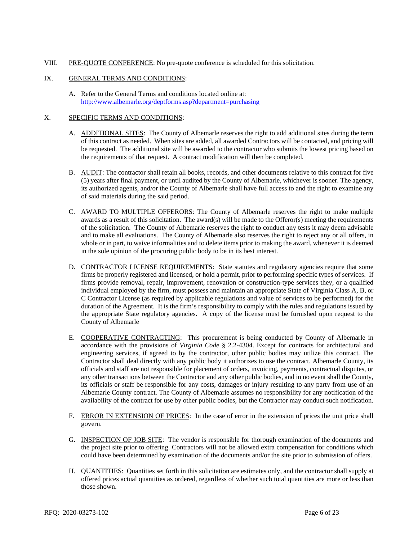VIII. PRE-QUOTE CONFERENCE: No pre-quote conference is scheduled for this solicitation.

#### IX. GENERAL TERMS AND CONDITIONS:

A. Refer to the General Terms and conditions located online at: <http://www.albemarle.org/deptforms.asp?department=purchasing>

#### X. SPECIFIC TERMS AND CONDITIONS:

- A. ADDITIONAL SITES: The County of Albemarle reserves the right to add additional sites during the term of this contract as needed. When sites are added, all awarded Contractors will be contacted, and pricing will be requested. The additional site will be awarded to the contractor who submits the lowest pricing based on the requirements of that request. A contract modification will then be completed.
- B. AUDIT: The contractor shall retain all books, records, and other documents relative to this contract for five (5) years after final payment, or until audited by the County of Albemarle, whichever is sooner. The agency, its authorized agents, and/or the County of Albemarle shall have full access to and the right to examine any of said materials during the said period.
- C. AWARD TO MULTIPLE OFFERORS: The County of Albemarle reserves the right to make multiple awards as a result of this solicitation. The award(s) will be made to the Offeror(s) meeting the requirements of the solicitation. The County of Albemarle reserves the right to conduct any tests it may deem advisable and to make all evaluations. The County of Albemarle also reserves the right to reject any or all offers, in whole or in part, to waive informalities and to delete items prior to making the award, whenever it is deemed in the sole opinion of the procuring public body to be in its best interest.
- D. CONTRACTOR LICENSE REQUIREMENTS: State statutes and regulatory agencies require that some firms be properly registered and licensed, or hold a permit, prior to performing specific types of services. If firms provide removal, repair, improvement, renovation or construction-type services they, or a qualified individual employed by the firm, must possess and maintain an appropriate State of Virginia Class A, B, or C Contractor License (as required by applicable regulations and value of services to be performed) for the duration of the Agreement. It is the firm's responsibility to comply with the rules and regulations issued by the appropriate State regulatory agencies. A copy of the license must be furnished upon request to the County of Albemarle
- E. COOPERATIVE CONTRACTING: This procurement is being conducted by County of Albemarle in accordance with the provisions of *Virginia Code* § 2.2-4304. Except for contracts for architectural and engineering services, if agreed to by the contractor, other public bodies may utilize this contract. The Contractor shall deal directly with any public body it authorizes to use the contract. Albemarle County, its officials and staff are not responsible for placement of orders, invoicing, payments, contractual disputes, or any other transactions between the Contractor and any other public bodies, and in no event shall the County, its officials or staff be responsible for any costs, damages or injury resulting to any party from use of an Albemarle County contract. The County of Albemarle assumes no responsibility for any notification of the availability of the contract for use by other public bodies, but the Contractor may conduct such notification.
- F. ERROR IN EXTENSION OF PRICES: In the case of error in the extension of prices the unit price shall govern.
- G. INSPECTION OF JOB SITE: The vendor is responsible for thorough examination of the documents and the project site prior to offering. Contractors will not be allowed extra compensation for conditions which could have been determined by examination of the documents and/or the site prior to submission of offers.
- H. QUANTITIES: Quantities set forth in this solicitation are estimates only, and the contractor shall supply at offered prices actual quantities as ordered, regardless of whether such total quantities are more or less than those shown.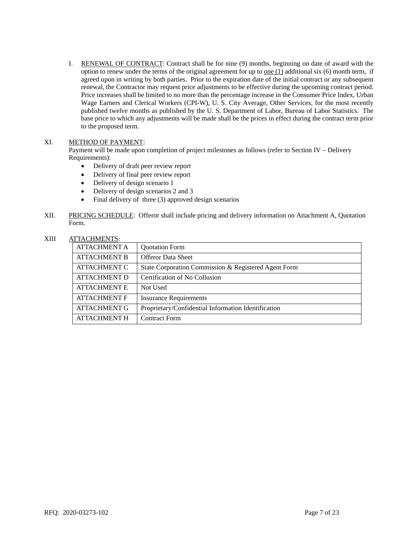I. RENEWAL OF CONTRACT: Contract shall be for nine (9) months, beginning on date of award with the option to renew under the terms of the original agreement for up to <u>one  $(1)$ </u> additional six  $(6)$  month term, if agreed upon in writing by both parties. Prior to the expiration date of the initial contract or any subsequent renewal, the Contractor may request price adjustments to be effective during the upcoming contract period. Price increases shall be limited to no more than the percentage increase in the Consumer Price Index, Urban Wage Earners and Clerical Workers (CPI-W), U. S. City Average, Other Services, for the most recently published twelve months as published by the U. S. Department of Labor, Bureau of Labor Statistics. The base price to which any adjustments will be made shall be the prices in effect during the contract term prior to the proposed term.

### XI. METHOD OF PAYMENT:

Payment will be made upon completion of project milestones as follows (refer to Section IV – Delivery Requirements):

- Delivery of draft peer review report
- Delivery of final peer review report
- Delivery of design scenario 1
- Delivery of design scenarios 2 and 3
- Final delivery of three (3) approved design scenarios
- XII. PRICING SCHEDULE: Offeror shall include pricing and delivery information on Attachment A, Quotation Form.

## XIII ATTACHMENTS:

| 11 17 10 11 11 11 11 12 1 |                                                      |
|---------------------------|------------------------------------------------------|
| <b>ATTACHMENT A</b>       | <b>Quotation Form</b>                                |
| <b>ATTACHMENT B</b>       | <b>Offeror Data Sheet</b>                            |
| <b>ATTACHMENT C</b>       | State Corporation Commission & Registered Agent Form |
| <b>ATTACHMENT D</b>       | Certification of No Collusion                        |
| <b>ATTACHMENT E</b>       | Not Used                                             |
| <b>ATTACHMENT F</b>       | <b>Insurance Requirements</b>                        |
| <b>ATTACHMENT G</b>       | Proprietary/Confidential Information Identification  |
| <b>ATTACHMENT H</b>       | <b>Contract Form</b>                                 |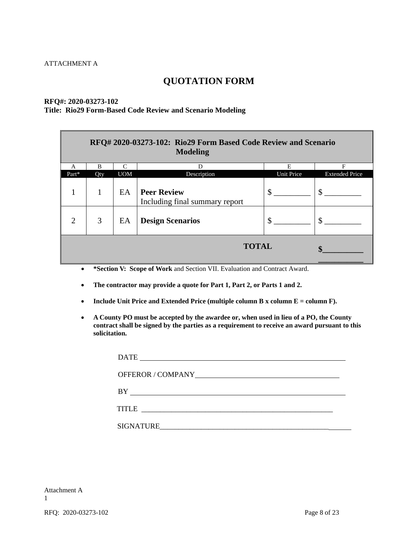## **QUOTATION FORM**

## **RFQ#: 2020-03273-102**

## **Title: Rio29 Form-Based Code Review and Scenario Modeling**

| RFQ# 2020-03273-102: Rio29 Form Based Code Review and Scenario<br><b>Modeling</b> |     |            |                                                      |               |                       |
|-----------------------------------------------------------------------------------|-----|------------|------------------------------------------------------|---------------|-----------------------|
| A                                                                                 | В   | $\subset$  | D                                                    | Е             | F                     |
| $Part*$                                                                           | Qty | <b>UOM</b> | Description                                          | Unit Price    | <b>Extended Price</b> |
|                                                                                   | 1   | EA         | <b>Peer Review</b><br>Including final summary report | $\mathcal{S}$ | \$                    |
| $\mathcal{D}_{\mathcal{L}}$                                                       | 3   | EA         | <b>Design Scenarios</b>                              | \$            | \$                    |
| <b>TOTAL</b>                                                                      |     |            |                                                      |               |                       |

- **\*Section V: Scope of Work** and Section VII. Evaluation and Contract Award.
- **The contractor may provide a quote for Part 1, Part 2, or Parts 1 and 2.**
- **Include Unit Price and Extended Price (multiple column B x column E = column F).**
- **A County PO must be accepted by the awardee or, when used in lieu of a PO, the County contract shall be signed by the parties as a requirement to receive an award pursuant to this solicitation.**

| <b>DATE</b><br><u> 1989 - Andrea Stadt Britain, fransk politik (d. 1989)</u>                                                        |
|-------------------------------------------------------------------------------------------------------------------------------------|
|                                                                                                                                     |
| BY                                                                                                                                  |
| <b>TITLE</b><br><u> 1980 - John Barnett, fransk kongresu og den forske forskellige og det forskellige og det forskellige og det</u> |
| <b>SIGNATURE</b>                                                                                                                    |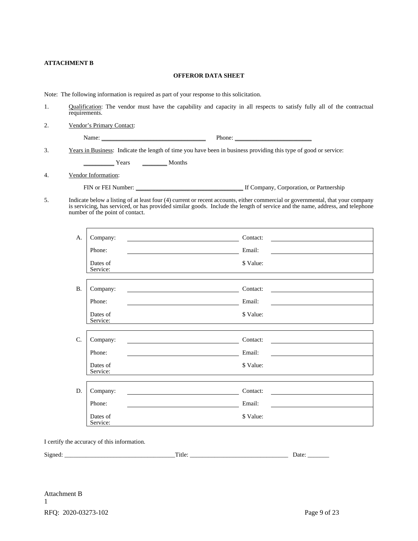#### **ATTACHMENT B**

#### **OFFEROR DATA SHEET**

Note: The following information is required as part of your response to this solicitation.

- 1. Qualification: The vendor must have the capability and capacity in all respects to satisfy fully all of the contractual requirements.
- 2. Vendor's Primary Contact:

Name: \_\_\_\_\_\_\_\_\_\_\_\_\_\_\_\_\_\_\_\_\_\_\_\_\_\_\_\_\_\_\_\_\_\_ Phone: \_\_\_\_\_\_\_\_\_\_\_\_\_\_\_\_\_\_\_\_\_\_\_\_\_

3. Years in Business: Indicate the length of time you have been in business providing this type of good or service:

\_\_\_\_\_\_\_\_\_\_ Years \_\_\_\_\_\_\_\_ Months

4. Vendor Information:

FIN or FEI Number: \_\_\_\_\_\_\_\_\_\_\_\_\_\_\_\_\_\_\_\_\_\_\_\_\_\_\_\_\_\_\_\_\_\_\_ If Company, Corporation, or Partnership

5. Indicate below a listing of at least four (4) current or recent accounts, either commercial or governmental, that your company is servicing, has serviced, or has provided similar goods. Include the length of service and the name, address, and telephone number of the point of contact.

| A.              | Company:                                                                                                                                                                                                                                         | Contact:<br><u> 1989 - John Stein, Amerikaansk politiker (</u>                                                               |
|-----------------|--------------------------------------------------------------------------------------------------------------------------------------------------------------------------------------------------------------------------------------------------|------------------------------------------------------------------------------------------------------------------------------|
|                 | Phone:                                                                                                                                                                                                                                           | Email:                                                                                                                       |
|                 | Dates of<br>Service:                                                                                                                                                                                                                             | \$ Value:                                                                                                                    |
| <b>B.</b>       | Company:                                                                                                                                                                                                                                         | Contact:<br><u> 1989 - Johann Stein, Amerikaansk politiker (</u>                                                             |
|                 | Phone:<br><u> 1980 - Jan Barbara Barat, martin da shekara 1980 - An tsa Barat, marka 1980 - An tsa Barat, marka 1980 - An t</u>                                                                                                                  | Email:<br><u> 1980 - Jan Stein Harry Harry Harry Harry Harry Harry Harry Harry Harry Harry Harry Harry Harry Harry Harry</u> |
|                 | Dates of<br>Service:                                                                                                                                                                                                                             | \$ Value:                                                                                                                    |
|                 |                                                                                                                                                                                                                                                  |                                                                                                                              |
| $\mathcal{C}$ . | Company:<br><u> 1989 - Johann Barbara, martin amerikan basal dan berasal dan berasal dalam basal dalam basal dalam basal dala</u>                                                                                                                | Contact:                                                                                                                     |
|                 | Phone:                                                                                                                                                                                                                                           | Email:                                                                                                                       |
|                 | Dates of<br>Service:                                                                                                                                                                                                                             | \$ Value:                                                                                                                    |
|                 |                                                                                                                                                                                                                                                  |                                                                                                                              |
| D.              | Company:<br><u>state and the state of the state of the state of the state of the state of the state of the state of the state of the state of the state of the state of the state of the state of the state of the state of the state of the</u> | Contact:<br><u> 1989 - Jan Samuel Barbara, martin d</u>                                                                      |
|                 | Phone:                                                                                                                                                                                                                                           | Email:<br><u> 1980 - Jan Samuel Barbara, martin d</u>                                                                        |
|                 | Dates of<br>Service:                                                                                                                                                                                                                             | \$ Value:                                                                                                                    |

I certify the accuracy of this information.

Signed: \_\_\_\_\_\_\_\_\_\_\_\_\_\_\_\_\_\_\_\_\_\_\_\_\_\_\_\_\_\_\_\_\_\_\_\_Title: \_\_\_\_\_\_\_\_\_\_\_\_\_\_\_\_\_\_\_\_\_\_\_\_\_\_\_\_\_\_\_\_ Date: \_\_\_\_\_\_\_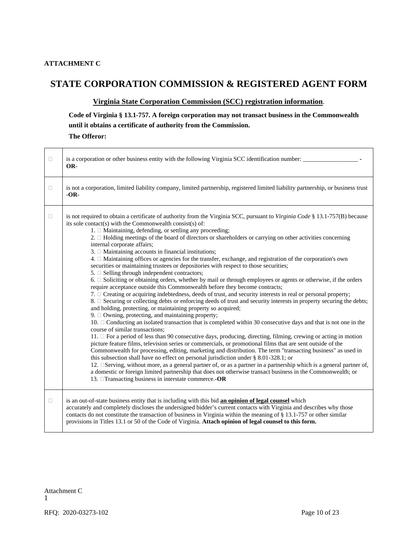### **ATTACHMENT C**

## **STATE CORPORATION COMMISSION & REGISTERED AGENT FORM**

### **Virginia State Corporation Commission (SCC) registration information**.

**Code of Virginia § 13.1-757. A foreign corporation may not transact business in the Commonwealth until it obtains a certificate of authority from the Commission.**

**The Offeror:**

| □      | is a corporation or other business entity with the following Virginia SCC identification number:<br>OR-                                                                                                                                                                                                                                                                                                                                                                                                                                                                                                                                                                                                                                                                                                                                                                                                                                                                                                                                                                                                                                                                                                                                                                                                                                                                                                                                                                                                                                                                                                                                                                                                                                                                                                                                                                                                                                                                                                                                                                                                                                                                                                                                     |
|--------|---------------------------------------------------------------------------------------------------------------------------------------------------------------------------------------------------------------------------------------------------------------------------------------------------------------------------------------------------------------------------------------------------------------------------------------------------------------------------------------------------------------------------------------------------------------------------------------------------------------------------------------------------------------------------------------------------------------------------------------------------------------------------------------------------------------------------------------------------------------------------------------------------------------------------------------------------------------------------------------------------------------------------------------------------------------------------------------------------------------------------------------------------------------------------------------------------------------------------------------------------------------------------------------------------------------------------------------------------------------------------------------------------------------------------------------------------------------------------------------------------------------------------------------------------------------------------------------------------------------------------------------------------------------------------------------------------------------------------------------------------------------------------------------------------------------------------------------------------------------------------------------------------------------------------------------------------------------------------------------------------------------------------------------------------------------------------------------------------------------------------------------------------------------------------------------------------------------------------------------------|
| $\Box$ | is not a corporation, limited liability company, limited partnership, registered limited liability partnership, or business trust<br>$-OR-$                                                                                                                                                                                                                                                                                                                                                                                                                                                                                                                                                                                                                                                                                                                                                                                                                                                                                                                                                                                                                                                                                                                                                                                                                                                                                                                                                                                                                                                                                                                                                                                                                                                                                                                                                                                                                                                                                                                                                                                                                                                                                                 |
| $\Box$ | is not required to obtain a certificate of authority from the Virginia SCC, pursuant to Virginia Code § 13.1-757(B) because<br>its sole contact(s) with the Commonwealth consist(s) of:<br>1. $\Box$ Maintaining, defending, or settling any proceeding;<br>2. $\Box$ Holding meetings of the board of directors or shareholders or carrying on other activities concerning<br>internal corporate affairs;<br>3. $\Box$ Maintaining accounts in financial institutions;<br>4. $\Box$ Maintaining offices or agencies for the transfer, exchange, and registration of the corporation's own<br>securities or maintaining trustees or depositories with respect to those securities;<br>5. $\Box$ Selling through independent contractors;<br>6. $\Box$ Soliciting or obtaining orders, whether by mail or through employees or agents or otherwise, if the orders<br>require acceptance outside this Commonwealth before they become contracts;<br>7. $\Box$ Creating or acquiring indebtedness, deeds of trust, and security interests in real or personal property;<br>8. $\Box$ Securing or collecting debts or enforcing deeds of trust and security interests in property securing the debts;<br>and holding, protecting, or maintaining property so acquired;<br>9. $\Box$ Owning, protecting, and maintaining property;<br>10. $\Box$ Conducting an isolated transaction that is completed within 30 consecutive days and that is not one in the<br>course of similar transactions:<br>11. □ For a period of less than 90 consecutive days, producing, directing, filming, crewing or acting in motion<br>picture feature films, television series or commercials, or promotional films that are sent outside of the<br>Commonwealth for processing, editing, marketing and distribution. The term "transacting business" as used in<br>this subsection shall have no effect on personal jurisdiction under $\S$ 8.01-328.1; or<br>12. □ Serving, without more, as a general partner of, or as a partner in a partnership which is a general partner of,<br>a domestic or foreign limited partnership that does not otherwise transact business in the Commonwealth; or<br>13. <b>Transacting business in interstate commerce.-OR</b> |
| $\Box$ | is an out-of-state business entity that is including with this bid an opinion of legal counsel which<br>accurately and completely discloses the undersigned bidder's current contacts with Virginia and describes why those<br>contacts do not constitute the transaction of business in Virginia within the meaning of § 13.1-757 or other similar<br>provisions in Titles 13.1 or 50 of the Code of Virginia. Attach opinion of legal counsel to this form.                                                                                                                                                                                                                                                                                                                                                                                                                                                                                                                                                                                                                                                                                                                                                                                                                                                                                                                                                                                                                                                                                                                                                                                                                                                                                                                                                                                                                                                                                                                                                                                                                                                                                                                                                                               |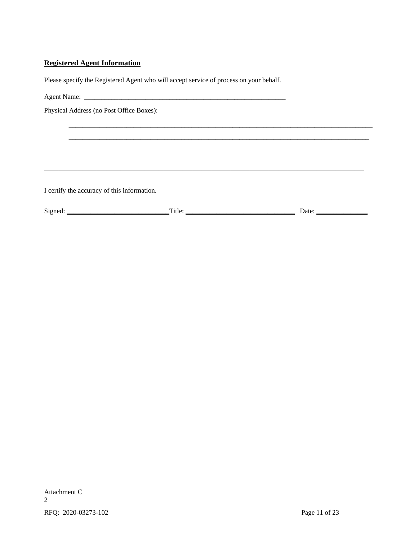## **Registered Agent Information**

Please specify the Registered Agent who will accept service of process on your behalf.

Agent Name: \_\_\_\_\_\_\_\_\_\_\_\_\_\_\_\_\_\_\_\_\_\_\_\_\_\_\_\_\_\_\_\_\_\_\_\_\_\_\_\_\_\_\_\_\_\_\_\_\_\_\_\_\_\_\_\_\_\_\_

Physical Address (no Post Office Boxes):

I certify the accuracy of this information.

| $\sim$<br>Signer<br>. | $\sim$<br>1 <u>.</u> | Jate<br>--<br>. |
|-----------------------|----------------------|-----------------|
|                       |                      |                 |

\_\_\_\_\_\_\_\_\_\_\_\_\_\_\_\_\_\_\_\_\_\_\_\_\_\_\_\_\_\_\_\_\_\_\_\_\_\_\_\_\_\_\_\_\_\_\_\_\_\_\_\_\_\_\_\_\_\_\_\_\_\_\_\_\_\_\_\_\_\_\_\_\_\_\_\_\_\_\_\_\_\_\_\_\_\_\_\_\_ \_\_\_\_\_\_\_\_\_\_\_\_\_\_\_\_\_\_\_\_\_\_\_\_\_\_\_\_\_\_\_\_\_\_\_\_\_\_\_\_\_\_\_\_\_\_\_\_\_\_\_\_\_\_\_\_\_\_\_\_\_\_\_\_\_\_\_\_\_\_\_\_\_\_\_\_\_\_\_\_\_\_\_\_\_\_\_\_

\_\_\_\_\_\_\_\_\_\_\_\_\_\_\_\_\_\_\_\_\_\_\_\_\_\_\_\_\_\_\_\_\_\_\_\_\_\_\_\_\_\_\_\_\_\_\_\_\_\_\_\_\_\_\_\_\_\_\_\_\_\_\_\_\_\_\_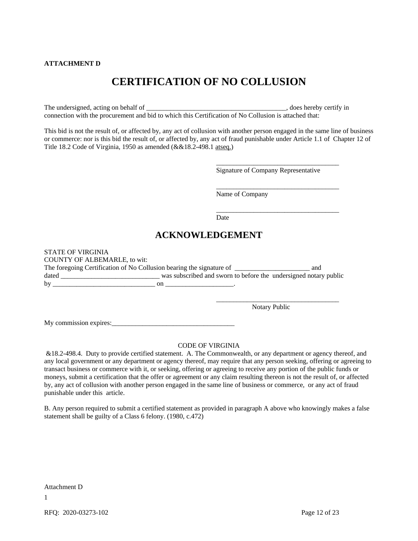#### **ATTACHMENT D**

# **CERTIFICATION OF NO COLLUSION**

The undersigned, acting on behalf of \_\_\_\_\_\_\_\_\_\_\_\_\_\_\_\_\_\_\_\_\_\_\_\_\_\_\_\_\_\_\_\_\_\_\_\_\_\_\_\_\_, does hereby certify in connection with the procurement and bid to which this Certification of No Collusion is attached that:

This bid is not the result of, or affected by, any act of collusion with another person engaged in the same line of business or commerce: nor is this bid the result of, or affected by, any act of fraud punishable under Article 1.1 of Chapter 12 of Title 18.2 Code of Virginia, 1950 as amended (&&18.2-498.1 atseq.)

Signature of Company Representative

\_\_\_\_\_\_\_\_\_\_\_\_\_\_\_\_\_\_\_\_\_\_\_\_\_\_\_\_\_\_\_\_\_\_\_\_

\_\_\_\_\_\_\_\_\_\_\_\_\_\_\_\_\_\_\_\_\_\_\_\_\_\_\_\_\_\_\_\_\_\_\_\_

Name of Company

\_\_\_\_\_\_\_\_\_\_\_\_\_\_\_\_\_\_\_\_\_\_\_\_\_\_\_\_\_\_\_\_\_\_\_\_ Date

## **ACKNOWLEDGEMENT**

| <b>STATE OF VIRGINIA</b>                                             |                                                                  |     |
|----------------------------------------------------------------------|------------------------------------------------------------------|-----|
| <b>COUNTY OF ALBEMARLE, to wit:</b>                                  |                                                                  |     |
| The foregoing Certification of No Collusion bearing the signature of |                                                                  | and |
| dated                                                                | was subscribed and sworn to before the undersigned notary public |     |
| by                                                                   |                                                                  |     |

Notary Public

\_\_\_\_\_\_\_\_\_\_\_\_\_\_\_\_\_\_\_\_\_\_\_\_\_\_\_\_\_\_\_\_\_\_\_\_

My commission expires:

#### CODE OF VIRGINIA

&18.2-498.4. Duty to provide certified statement. A. The Commonwealth, or any department or agency thereof, and any local government or any department or agency thereof, may require that any person seeking, offering or agreeing to transact business or commerce with it, or seeking, offering or agreeing to receive any portion of the public funds or moneys, submit a certification that the offer or agreement or any claim resulting thereon is not the result of, or affected by, any act of collusion with another person engaged in the same line of business or commerce, or any act of fraud punishable under this article.

B. Any person required to submit a certified statement as provided in paragraph A above who knowingly makes a false statement shall be guilty of a Class 6 felony. (1980, c.472)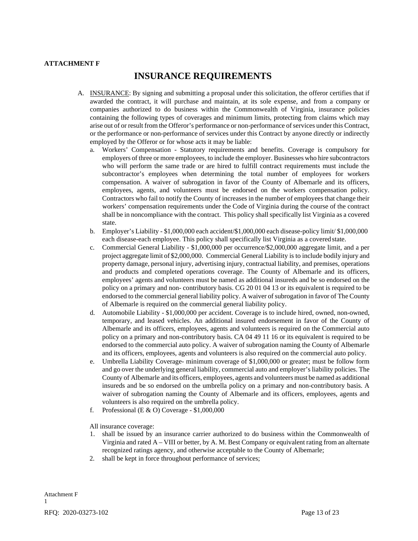#### **ATTACHMENT F**

## **INSURANCE REQUIREMENTS**

- A. INSURANCE: By signing and submitting a proposal under this solicitation, the offeror certifies that if awarded the contract, it will purchase and maintain, at its sole expense, and from a company or companies authorized to do business within the Commonwealth of Virginia, insurance policies containing the following types of coverages and minimum limits, protecting from claims which may arise out of or result from the Offeror's performance or non-performance ofservices under this Contract, or the performance or non-performance of services under this Contract by anyone directly or indirectly employed by the Offeror or for whose acts it may be liable:
	- a. Workers' Compensation Statutory requirements and benefits. Coverage is compulsory for employers of three or more employees, to include the employer. Businesses who hire subcontractors who will perform the same trade or are hired to fulfill contract requirements must include the subcontractor's employees when determining the total number of employees for workers compensation. A waiver of subrogation in favor of the County of Albemarle and its officers, employees, agents, and volunteers must be endorsed on the workers compensation policy. Contractors who fail to notify the County of increases in the number of employees that change their workers' compensation requirements under the Code of Virginia during the course of the contract shall be in noncompliance with the contract. This policy shall specifically list Virginia as a covered state.
	- b. Employer's Liability \$1,000,000 each accident/\$1,000,000 each disease-policy limit/ \$1,000,000 each disease-each employee. This policy shall specifically list Virginia as a covered state.
	- c. Commercial General Liability \$1,000,000 per occurrence/\$2,000,000 aggregate limit, and a per project aggregate limit of \$2,000,000. Commercial General Liability is to include bodily injury and property damage, personal injury, advertising injury, contractual liability, and premises, operations and products and completed operations coverage. The County of Albemarle and its officers, employees' agents and volunteers must be named as additional insureds and be so endorsed on the policy on a primary and non- contributory basis. CG 20 01 04 13 or its equivalent is required to be endorsed to the commercial general liability policy. A waiver of subrogation in favor of The County of Albemarle is required on the commercial general liability policy.
	- d. Automobile Liability \$1,000,000 per accident. Coverage is to include hired, owned, non-owned, temporary, and leased vehicles. An additional insured endorsement in favor of the County of Albemarle and its officers, employees, agents and volunteers is required on the Commercial auto policy on a primary and non-contributory basis. CA 04 49 11 16 or its equivalent is required to be endorsed to the commercial auto policy. A waiver of subrogation naming the County of Albemarle and its officers, employees, agents and volunteers is also required on the commercial auto policy.
	- e. Umbrella Liability Coverage- minimum coverage of \$1,000,000 or greater; must be follow form and go over the underlying general liability, commercial auto and employer's liability policies. The County of Albemarle and its officers, employees, agents and volunteers must be named as additional insureds and be so endorsed on the umbrella policy on a primary and non-contributory basis. A waiver of subrogation naming the County of Albemarle and its officers, employees, agents and volunteers is also required on the umbrella policy.
	- f. Professional (E  $\&$  O) Coverage \$1,000,000

All insurance coverage:

- 1. shall be issued by an insurance carrier authorized to do business within the Commonwealth of Virginia and rated A – VIII or better, by A. M. Best Company or equivalent rating from an alternate recognized ratings agency, and otherwise acceptable to the County of Albemarle;
- 2. shall be kept in force throughout performance of services;

RFQ: 2020-03273-102 Page 13 of 23 Attachment F 1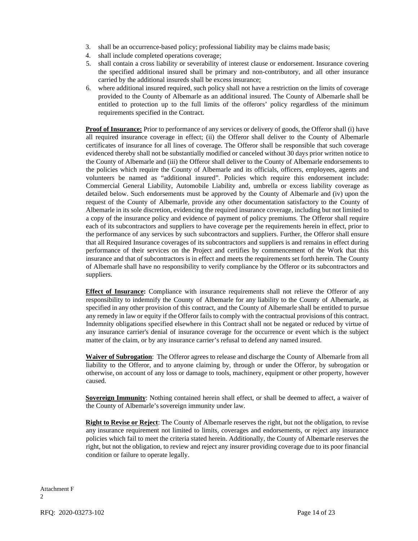- 3. shall be an occurrence-based policy; professional liability may be claims made basis;
- 4. shall include completed operations coverage;
- 5. shall contain a cross liability or severability of interest clause or endorsement. Insurance covering the specified additional insured shall be primary and non-contributory, and all other insurance carried by the additional insureds shall be excess insurance;
- 6. where additional insured required, such policy shall not have a restriction on the limits of coverage provided to the County of Albemarle as an additional insured. The County of Albemarle shall be entitled to protection up to the full limits of the offerors' policy regardless of the minimum requirements specified in the Contract.

**Proof of Insurance:** Prior to performance of any services or delivery of goods, the Offeror shall (i) have all required insurance coverage in effect; (ii) the Offeror shall deliver to the County of Albemarle certificates of insurance for all lines of coverage. The Offeror shall be responsible that such coverage evidenced thereby shall not be substantially modified or canceled without 30 days prior written notice to the County of Albemarle and (iii) the Offeror shall deliver to the County of Albemarle endorsements to the policies which require the County of Albemarle and its officials, officers, employees, agents and volunteers be named as "additional insured". Policies which require this endorsement include: Commercial General Liability, Automobile Liability and, umbrella or excess liability coverage as detailed below. Such endorsements must be approved by the County of Albemarle and (iv) upon the request of the County of Albemarle, provide any other documentation satisfactory to the County of Albemarle in its sole discretion, evidencing the required insurance coverage, including but not limited to a copy of the insurance policy and evidence of payment of policy premiums. The Offeror shall require each of its subcontractors and suppliers to have coverage per the requirements herein in effect, prior to the performance of any services by such subcontractors and suppliers. Further, the Offeror shall ensure that all Required Insurance coverages of its subcontractors and suppliers is and remains in effect during performance of their services on the Project and certifies by commencement of the Work that this insurance and that of subcontractors is in effect and meets the requirements set forth herein. The County of Albemarle shall have no responsibility to verify compliance by the Offeror or its subcontractors and suppliers.

**Effect of Insurance:** Compliance with insurance requirements shall not relieve the Offeror of any responsibility to indemnify the County of Albemarle for any liability to the County of Albemarle, as specified in any other provision of this contract, and the County of Albemarle shall be entitled to pursue any remedy in law or equity if the Offeror fails to comply with the contractual provisions of this contract. Indemnity obligations specified elsewhere in this Contract shall not be negated or reduced by virtue of any insurance carrier's denial of insurance coverage for the occurrence or event which is the subject matter of the claim, or by any insurance carrier's refusal to defend any named insured.

**Waiver of Subrogation**: The Offeror agrees to release and discharge the County of Albemarle from all liability to the Offeror, and to anyone claiming by, through or under the Offeror, by subrogation or otherwise, on account of any loss or damage to tools, machinery, equipment or other property, however caused.

**Sovereign Immunity**: Nothing contained herein shall effect, or shall be deemed to affect, a waiver of the County of Albemarle's sovereign immunity under law.

**Right to Revise or Reject**: The County of Albemarle reserves the right, but not the obligation, to revise any insurance requirement not limited to limits, coverages and endorsements, or reject any insurance policies which fail to meet the criteria stated herein. Additionally, the County of Albemarle reserves the right, but not the obligation, to review and reject any insurer providing coverage due to its poor financial condition or failure to operate legally.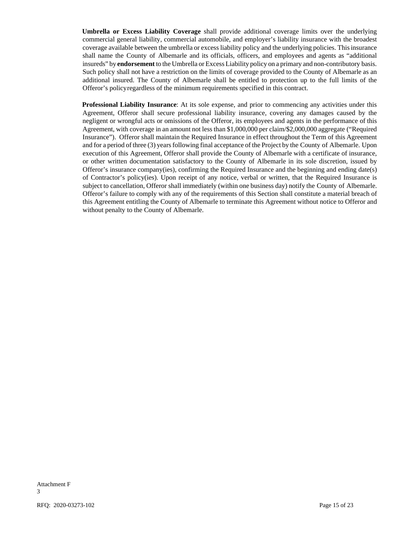**Umbrella or Excess Liability Coverage** shall provide additional coverage limits over the underlying commercial general liability, commercial automobile, and employer's liability insurance with the broadest coverage available between the umbrella or excess liability policy and the underlying policies. Thisinsurance shall name the County of Albemarle and its officials, officers, and employees and agents as "additional insureds" by **endorsement** to the Umbrella or Excess Liability policy on a primary and non-contributory basis. Such policy shall not have a restriction on the limits of coverage provided to the County of Albemarle as an additional insured. The County of Albemarle shall be entitled to protection up to the full limits of the Offeror's policyregardless of the minimum requirements specified in this contract.

**Professional Liability Insurance**: At its sole expense, and prior to commencing any activities under this Agreement, Offeror shall secure professional liability insurance, covering any damages caused by the negligent or wrongful acts or omissions of the Offeror, its employees and agents in the performance of this Agreement, with coverage in an amount not less than \$1,000,000 per claim/\$2,000,000 aggregate ("Required Insurance"). Offeror shall maintain the Required Insurance in effect throughout the Term of this Agreement and for a period of three (3) years following final acceptance of the Project by the County of Albemarle. Upon execution of this Agreement, Offeror shall provide the County of Albemarle with a certificate of insurance, or other written documentation satisfactory to the County of Albemarle in its sole discretion, issued by Offeror's insurance company(ies), confirming the Required Insurance and the beginning and ending date(s) of Contractor's policy(ies). Upon receipt of any notice, verbal or written, that the Required Insurance is subject to cancellation, Offeror shall immediately (within one business day) notify the County of Albemarle. Offeror's failure to comply with any of the requirements of this Section shall constitute a material breach of this Agreement entitling the County of Albemarle to terminate this Agreement without notice to Offeror and without penalty to the County of Albemarle.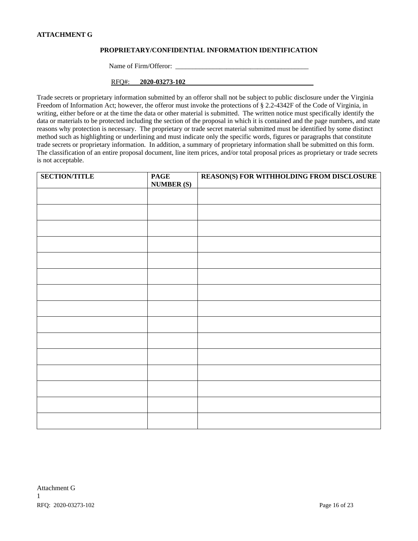#### **ATTACHMENT G**

#### **PROPRIETARY/CONFIDENTIAL INFORMATION IDENTIFICATION**

Name of Firm/Offeror: \_\_\_\_\_\_\_\_\_\_\_\_\_\_\_\_\_\_\_\_\_\_\_\_\_\_\_\_\_\_\_\_\_\_\_\_\_\_\_

RFQ#: **2020-03273-102** 1

Trade secrets or proprietary information submitted by an offeror shall not be subject to public disclosure under the Virginia Freedom of Information Act; however, the offeror must invoke the protections of § 2.2-4342F of the Code of Virginia, in writing, either before or at the time the data or other material is submitted. The written notice must specifically identify the data or materials to be protected including the section of the proposal in which it is contained and the page numbers, and state reasons why protection is necessary. The proprietary or trade secret material submitted must be identified by some distinct method such as highlighting or underlining and must indicate only the specific words, figures or paragraphs that constitute trade secrets or proprietary information. In addition, a summary of proprietary information shall be submitted on this form. The classification of an entire proposal document, line item prices, and/or total proposal prices as proprietary or trade secrets is not acceptable.

| <b>SECTION/TITLE</b> | <b>PAGE</b><br><b>NUMBER (S)</b> | REASON(S) FOR WITHHOLDING FROM DISCLOSURE |
|----------------------|----------------------------------|-------------------------------------------|
|                      |                                  |                                           |
|                      |                                  |                                           |
|                      |                                  |                                           |
|                      |                                  |                                           |
|                      |                                  |                                           |
|                      |                                  |                                           |
|                      |                                  |                                           |
|                      |                                  |                                           |
|                      |                                  |                                           |
|                      |                                  |                                           |
|                      |                                  |                                           |
|                      |                                  |                                           |
|                      |                                  |                                           |
|                      |                                  |                                           |
|                      |                                  |                                           |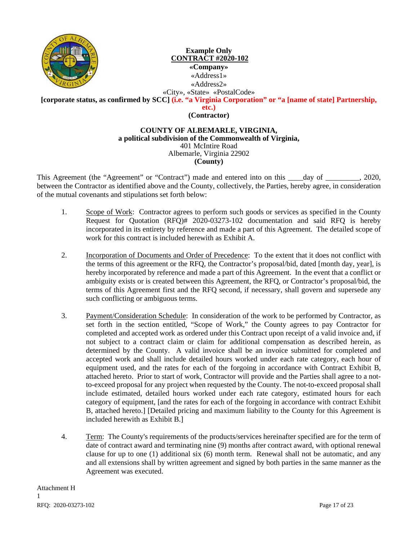

## **Example Only CONTRACT #2020-102 «Company»** «Address1» «Address2» «City», «State» «PostalCode»

**[corporate status, as confirmed by SCC] (i.e. "a Virginia Corporation" or "a [name of state] Partnership,** 

**etc.)**

**(Contractor)**

### **COUNTY OF ALBEMARLE, VIRGINIA, a political subdivision of the Commonwealth of Virginia,** 401 McIntire Road Albemarle, Virginia 22902 **(County)**

This Agreement (the "Agreement" or "Contract") made and entered into on this day of  $\qquad \qquad$ , 2020, between the Contractor as identified above and the County, collectively, the Parties, hereby agree, in consideration of the mutual covenants and stipulations set forth below:

- 1. Scope of Work: Contractor agrees to perform such goods or services as specified in the County Request for Quotation (RFQ)# 2020-03273-102 documentation and said RFQ is hereby incorporated in its entirety by reference and made a part of this Agreement. The detailed scope of work for this contract is included herewith as Exhibit A.
- 2. Incorporation of Documents and Order of Precedence: To the extent that it does not conflict with the terms of this agreement or the RFQ, the Contractor's proposal/bid, dated [month day, year], is hereby incorporated by reference and made a part of this Agreement. In the event that a conflict or ambiguity exists or is created between this Agreement, the RFQ, or Contractor's proposal/bid, the terms of this Agreement first and the RFQ second, if necessary, shall govern and supersede any such conflicting or ambiguous terms.
- 3. Payment/Consideration Schedule: In consideration of the work to be performed by Contractor, as set forth in the section entitled, "Scope of Work," the County agrees to pay Contractor for completed and accepted work as ordered under this Contract upon receipt of a valid invoice and, if not subject to a contract claim or claim for additional compensation as described herein, as determined by the County. A valid invoice shall be an invoice submitted for completed and accepted work and shall include detailed hours worked under each rate category, each hour of equipment used, and the rates for each of the forgoing in accordance with Contract Exhibit B, attached hereto. Prior to start of work, Contractor will provide and the Parties shall agree to a notto-exceed proposal for any project when requested by the County. The not-to-exceed proposal shall include estimated, detailed hours worked under each rate category, estimated hours for each category of equipment, [and the rates for each of the forgoing in accordance with contract Exhibit B, attached hereto.] [Detailed pricing and maximum liability to the County for this Agreement is included herewith as Exhibit B.]
- 4. Term: The County's requirements of the products/services hereinafter specified are for the term of date of contract award and terminating nine (9) months after contract award, with optional renewal clause for up to one (1) additional six (6) month term.Renewal shall not be automatic, and any and all extensions shall by written agreement and signed by both parties in the same manner as the Agreement was executed.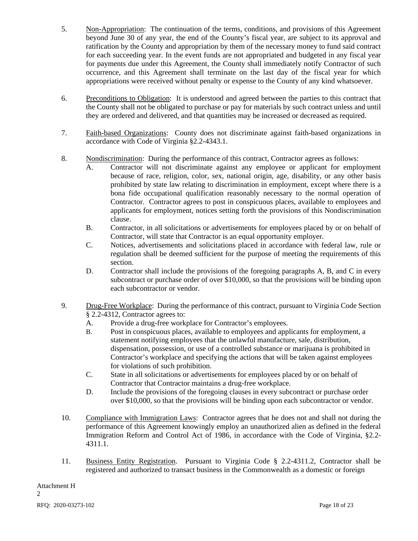- 5. Non-Appropriation: The continuation of the terms, conditions, and provisions of this Agreement beyond June 30 of any year, the end of the County's fiscal year, are subject to its approval and ratification by the County and appropriation by them of the necessary money to fund said contract for each succeeding year. In the event funds are not appropriated and budgeted in any fiscal year for payments due under this Agreement, the County shall immediately notify Contractor of such occurrence, and this Agreement shall terminate on the last day of the fiscal year for which appropriations were received without penalty or expense to the County of any kind whatsoever.
- 6. Preconditions to Obligation: It is understood and agreed between the parties to this contract that the County shall not be obligated to purchase or pay for materials by such contract unless and until they are ordered and delivered, and that quantities may be increased or decreased as required.
- 7. Faith-based Organizations: County does not discriminate against faith-based organizations in accordance with Code of Virginia §2.2-4343.1.
- 8. Nondiscrimination: During the performance of this contract, Contractor agrees as follows:
	- A. Contractor will not discriminate against any employee or applicant for employment because of race, religion, color, sex, national origin, age, disability, or any other basis prohibited by state law relating to discrimination in employment, except where there is a bona fide occupational qualification reasonably necessary to the normal operation of Contractor. Contractor agrees to post in conspicuous places, available to employees and applicants for employment, notices setting forth the provisions of this Nondiscrimination clause.
	- B. Contractor, in all solicitations or advertisements for employees placed by or on behalf of Contractor, will state that Contractor is an equal opportunity employer.
	- C. Notices, advertisements and solicitations placed in accordance with federal law, rule or regulation shall be deemed sufficient for the purpose of meeting the requirements of this section.
	- D. Contractor shall include the provisions of the foregoing paragraphs A, B, and C in every subcontract or purchase order of over \$10,000, so that the provisions will be binding upon each subcontractor or vendor.
- 9. Drug-Free Workplace: During the performance of this contract, pursuant to Virginia Code Section § 2.2-4312, Contractor agrees to:
	- A. Provide a drug-free workplace for Contractor's employees.
	- B. Post in conspicuous places, available to employees and applicants for employment, a statement notifying employees that the unlawful manufacture, sale, distribution, dispensation, possession, or use of a controlled substance or marijuana is prohibited in Contractor's workplace and specifying the actions that will be taken against employees for violations of such prohibition.
	- C. State in all solicitations or advertisements for employees placed by or on behalf of Contractor that Contractor maintains a drug-free workplace.
	- D. Include the provisions of the foregoing clauses in every subcontract or purchase order over \$10,000, so that the provisions will be binding upon each subcontractor or vendor.
- 10. Compliance with Immigration Laws: Contractor agrees that he does not and shall not during the performance of this Agreement knowingly employ an unauthorized alien as defined in the federal Immigration Reform and Control Act of 1986, in accordance with the Code of Virginia, §2.2- 4311.1.
- 11. Business Entity Registration. Pursuant to Virginia Code § 2.2-4311.2, Contractor shall be registered and authorized to transact business in the Commonwealth as a domestic or foreign

Attachment H 2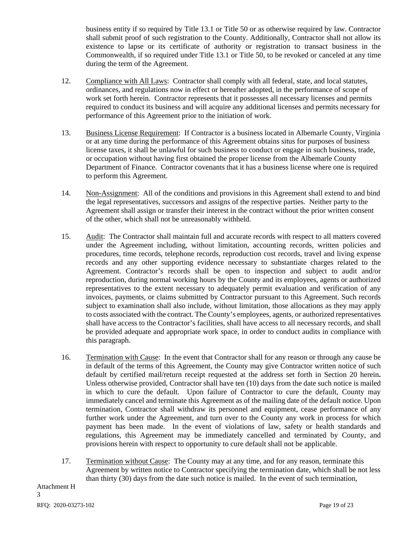business entity if so required by Title 13.1 or Title 50 or as otherwise required by law. Contractor shall submit proof of such registration to the County. Additionally, Contractor shall not allow its existence to lapse or its certificate of authority or registration to transact business in the Commonwealth, if so required under Title 13.1 or Title 50, to be revoked or canceled at any time during the term of the Agreement.

- 12. Compliance with All Laws: Contractor shall comply with all federal, state, and local statutes, ordinances, and regulations now in effect or hereafter adopted, in the performance of scope of work set forth herein. Contractor represents that it possesses all necessary licenses and permits required to conduct its business and will acquire any additional licenses and permits necessary for performance of this Agreement prior to the initiation of work.
- 13. Business License Requirement: If Contractor is a business located in Albemarle County, Virginia or at any time during the performance of this Agreement obtains situs for purposes of business license taxes, it shall be unlawful for such business to conduct or engage in such business, trade, or occupation without having first obtained the proper license from the Albemarle County Department of Finance. Contractor covenants that it has a business license where one is required to perform this Agreement.
- 14. Non-Assignment: All of the conditions and provisions in this Agreement shall extend to and bind the legal representatives, successors and assigns of the respective parties. Neither party to the Agreement shall assign or transfer their interest in the contract without the prior written consent of the other, which shall not be unreasonably withheld.
- 15. Audit: The Contractor shall maintain full and accurate records with respect to all matters covered under the Agreement including, without limitation, accounting records, written policies and procedures, time records, telephone records, reproduction cost records, travel and living expense records and any other supporting evidence necessary to substantiate charges related to the Agreement. Contractor's records shall be open to inspection and subject to audit and/or reproduction, during normal working hours by the County and its employees, agents or authorized representatives to the extent necessary to adequately permit evaluation and verification of any invoices, payments, or claims submitted by Contractor pursuant to this Agreement. Such records subject to examination shall also include, without limitation, those allocations as they may apply to costs associated with the contract. The County's employees, agents, or authorized representatives shall have access to the Contractor's facilities, shall have access to all necessary records, and shall be provided adequate and appropriate work space, in order to conduct audits in compliance with this paragraph.
- 16. Termination with Cause: In the event that Contractor shall for any reason or through any cause be in default of the terms of this Agreement, the County may give Contractor written notice of such default by certified mail/return receipt requested at the address set forth in Section 20 herein**.**  Unless otherwise provided, Contractor shall have ten (10) days from the date such notice is mailed in which to cure the default. Upon failure of Contractor to cure the default, County may immediately cancel and terminate this Agreement as of the mailing date of the default notice. Upon termination, Contractor shall withdraw its personnel and equipment, cease performance of any further work under the Agreement, and turn over to the County any work in process for which payment has been made. In the event of violations of law, safety or health standards and regulations, this Agreement may be immediately cancelled and terminated by County, and provisions herein with respect to opportunity to cure default shall not be applicable.
- 17. Termination without Cause: The County may at any time, and for any reason, terminate this Agreement by written notice to Contractor specifying the termination date, which shall be not less than thirty (30) days from the date such notice is mailed. In the event of such termination,

RFQ: 2020-03273-102 Page 19 of 23 Attachment H 3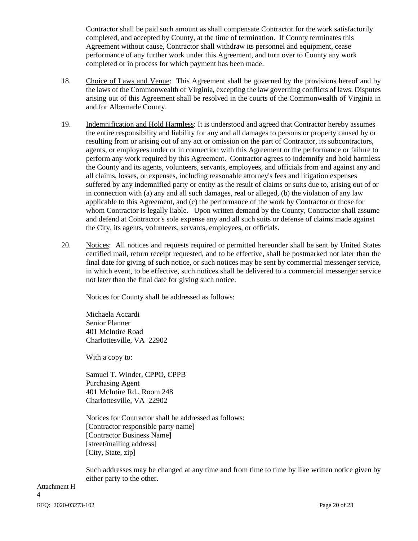Contractor shall be paid such amount as shall compensate Contractor for the work satisfactorily completed, and accepted by County, at the time of termination. If County terminates this Agreement without cause, Contractor shall withdraw its personnel and equipment, cease performance of any further work under this Agreement, and turn over to County any work completed or in process for which payment has been made.

- 18. Choice of Laws and Venue: This Agreement shall be governed by the provisions hereof and by the laws of the Commonwealth of Virginia, excepting the law governing conflicts of laws. Disputes arising out of this Agreement shall be resolved in the courts of the Commonwealth of Virginia in and for Albemarle County.
- 19. Indemnification and Hold Harmless: It is understood and agreed that Contractor hereby assumes the entire responsibility and liability for any and all damages to persons or property caused by or resulting from or arising out of any act or omission on the part of Contractor, its subcontractors, agents, or employees under or in connection with this Agreement or the performance or failure to perform any work required by this Agreement. Contractor agrees to indemnify and hold harmless the County and its agents, volunteers, servants, employees, and officials from and against any and all claims, losses, or expenses, including reasonable attorney's fees and litigation expenses suffered by any indemnified party or entity as the result of claims or suits due to, arising out of or in connection with (a) any and all such damages, real or alleged, (b) the violation of any law applicable to this Agreement, and (c) the performance of the work by Contractor or those for whom Contractor is legally liable. Upon written demand by the County, Contractor shall assume and defend at Contractor's sole expense any and all such suits or defense of claims made against the City, its agents, volunteers, servants, employees, or officials.
- 20. Notices: All notices and requests required or permitted hereunder shall be sent by United States certified mail, return receipt requested, and to be effective, shall be postmarked not later than the final date for giving of such notice, or such notices may be sent by commercial messenger service, in which event, to be effective, such notices shall be delivered to a commercial messenger service not later than the final date for giving such notice.

Notices for County shall be addressed as follows:

Michaela Accardi Senior Planner 401 McIntire Road Charlottesville, VA 22902

With a copy to:

Samuel T. Winder, CPPO, CPPB Purchasing Agent 401 McIntire Rd., Room 248 Charlottesville, VA 22902

Notices for Contractor shall be addressed as follows: [Contractor responsible party name] [Contractor Business Name] [street/mailing address] [City, State, zip]

Such addresses may be changed at any time and from time to time by like written notice given by either party to the other.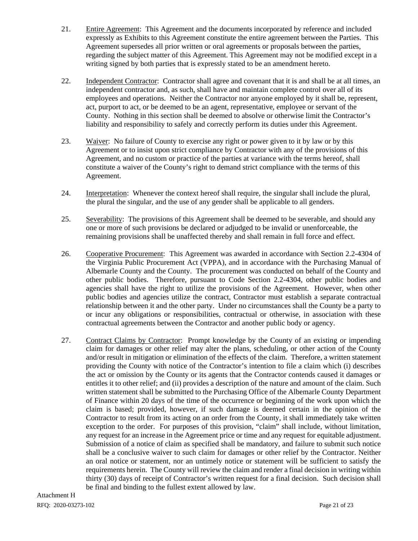- 21. Entire Agreement: This Agreement and the documents incorporated by reference and included expressly as Exhibits to this Agreement constitute the entire agreement between the Parties. This Agreement supersedes all prior written or oral agreements or proposals between the parties, regarding the subject matter of this Agreement. This Agreement may not be modified except in a writing signed by both parties that is expressly stated to be an amendment hereto.
- 22. Independent Contractor: Contractor shall agree and covenant that it is and shall be at all times, an independent contractor and, as such, shall have and maintain complete control over all of its employees and operations. Neither the Contractor nor anyone employed by it shall be, represent, act, purport to act, or be deemed to be an agent, representative, employee or servant of the County. Nothing in this section shall be deemed to absolve or otherwise limit the Contractor's liability and responsibility to safely and correctly perform its duties under this Agreement.
- 23. Waiver: No failure of County to exercise any right or power given to it by law or by this Agreement or to insist upon strict compliance by Contractor with any of the provisions of this Agreement, and no custom or practice of the parties at variance with the terms hereof, shall constitute a waiver of the County's right to demand strict compliance with the terms of this Agreement.
- 24. Interpretation: Whenever the context hereof shall require, the singular shall include the plural, the plural the singular, and the use of any gender shall be applicable to all genders.
- 25. Severability: The provisions of this Agreement shall be deemed to be severable, and should any one or more of such provisions be declared or adjudged to be invalid or unenforceable, the remaining provisions shall be unaffected thereby and shall remain in full force and effect.
- 26. Cooperative Procurement: This Agreement was awarded in accordance with Section 2.2-4304 of the Virginia Public Procurement Act (VPPA), and in accordance with the Purchasing Manual of Albemarle County and the County. The procurement was conducted on behalf of the County and other public bodies. Therefore, pursuant to Code Section 2.2-4304, other public bodies and agencies shall have the right to utilize the provisions of the Agreement. However, when other public bodies and agencies utilize the contract, Contractor must establish a separate contractual relationship between it and the other party. Under no circumstances shall the County be a party to or incur any obligations or responsibilities, contractual or otherwise, in association with these contractual agreements between the Contractor and another public body or agency.
- 27. Contract Claims by Contractor: Prompt knowledge by the County of an existing or impending claim for damages or other relief may alter the plans, scheduling, or other action of the County and/or result in mitigation or elimination of the effects of the claim. Therefore, a written statement providing the County with notice of the Contractor's intention to file a claim which (i) describes the act or omission by the County or its agents that the Contractor contends caused it damages or entitles it to other relief; and (ii) provides a description of the nature and amount of the claim. Such written statement shall be submitted to the Purchasing Office of the Albemarle County Department of Finance within 20 days of the time of the occurrence or beginning of the work upon which the claim is based; provided, however, if such damage is deemed certain in the opinion of the Contractor to result from its acting on an order from the County, it shall immediately take written exception to the order. For purposes of this provision, "claim" shall include, without limitation, any request for an increase in the Agreement price or time and any request for equitable adjustment. Submission of a notice of claim as specified shall be mandatory, and failure to submit such notice shall be a conclusive waiver to such claim for damages or other relief by the Contractor. Neither an oral notice or statement, nor an untimely notice or statement will be sufficient to satisfy the requirements herein. The County will review the claim and render a final decision in writing within thirty (30) days of receipt of Contractor's written request for a final decision. Such decision shall be final and binding to the fullest extent allowed by law.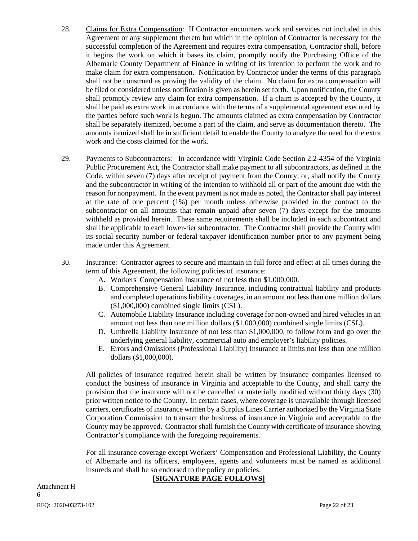- 28. Claims for Extra Compensation: If Contractor encounters work and services not included in this Agreement or any supplement thereto but which in the opinion of Contractor is necessary for the successful completion of the Agreement and requires extra compensation, Contractor shall, before it begins the work on which it bases its claim, promptly notify the Purchasing Office of the Albemarle County Department of Finance in writing of its intention to perform the work and to make claim for extra compensation. Notification by Contractor under the terms of this paragraph shall not be construed as proving the validity of the claim. No claim for extra compensation will be filed or considered unless notification is given as herein set forth. Upon notification, the County shall promptly review any claim for extra compensation. If a claim is accepted by the County, it shall be paid as extra work in accordance with the terms of a supplemental agreement executed by the parties before such work is begun. The amounts claimed as extra compensation by Contractor shall be separately itemized, become a part of the claim, and serve as documentation thereto. The amounts itemized shall be in sufficient detail to enable the County to analyze the need for the extra work and the costs claimed for the work.
- 29. Payments to Subcontractors: In accordance with Virginia Code Section 2.2-4354 of the Virginia Public Procurement Act, the Contractor shall make payment to all subcontractors, as defined in the Code, within seven (7) days after receipt of payment from the County; or, shall notify the County and the subcontractor in writing of the intention to withhold all or part of the amount due with the reason for nonpayment. In the event payment is not made as noted, the Contractor shall pay interest at the rate of one percent (1%) per month unless otherwise provided in the contract to the subcontractor on all amounts that remain unpaid after seven (7) days except for the amounts withheld as provided herein. These same requirements shall be included in each subcontract and shall be applicable to each lower-tier subcontractor. The Contractor shall provide the County with its social security number or federal taxpayer identification number prior to any payment being made under this Agreement.
- 30. Insurance: Contractor agrees to secure and maintain in full force and effect at all times during the term of this Agreement, the following policies of insurance:
	- A. Workers' Compensation Insurance of not less than \$1,000,000.
	- B. Comprehensive General Liability Insurance, including contractual liability and products and completed operations liability coverages, in an amount not less than one million dollars (\$1,000,000) combined single limits (CSL).
	- C. Automobile Liability Insurance including coverage for non-owned and hired vehicles in an amount not less than one million dollars (\$1,000,000) combined single limits (CSL).
	- D. Umbrella Liability Insurance of not less than \$1,000,000, to follow form and go over the underlying general liability, commercial auto and employer's liability policies.
	- E. Errors and Omissions (Professional Liability) Insurance at limits not less than one million dollars (\$1,000,000).

All policies of insurance required herein shall be written by insurance companies licensed to conduct the business of insurance in Virginia and acceptable to the County, and shall carry the provision that the insurance will not be cancelled or materially modified without thirty days (30) prior written notice to the County. In certain cases, where coverage is unavailable through licensed carriers, certificates of insurance written by a Surplus Lines Carrier authorized by the Virginia State Corporation Commission to transact the business of insurance in Virginia and acceptable to the County may be approved. Contractor shall furnish the County with certificate of insurance showing Contractor's compliance with the foregoing requirements.

For all insurance coverage except Workers' Compensation and Professional Liability, the County of Albemarle and its officers, employees, agents and volunteers must be named as additional insureds and shall be so endorsed to the policy or policies.

## **[SIGNATURE PAGE FOLLOWS]**

RFQ: 2020-03273-102 Page 22 of 23 Attachment H 6